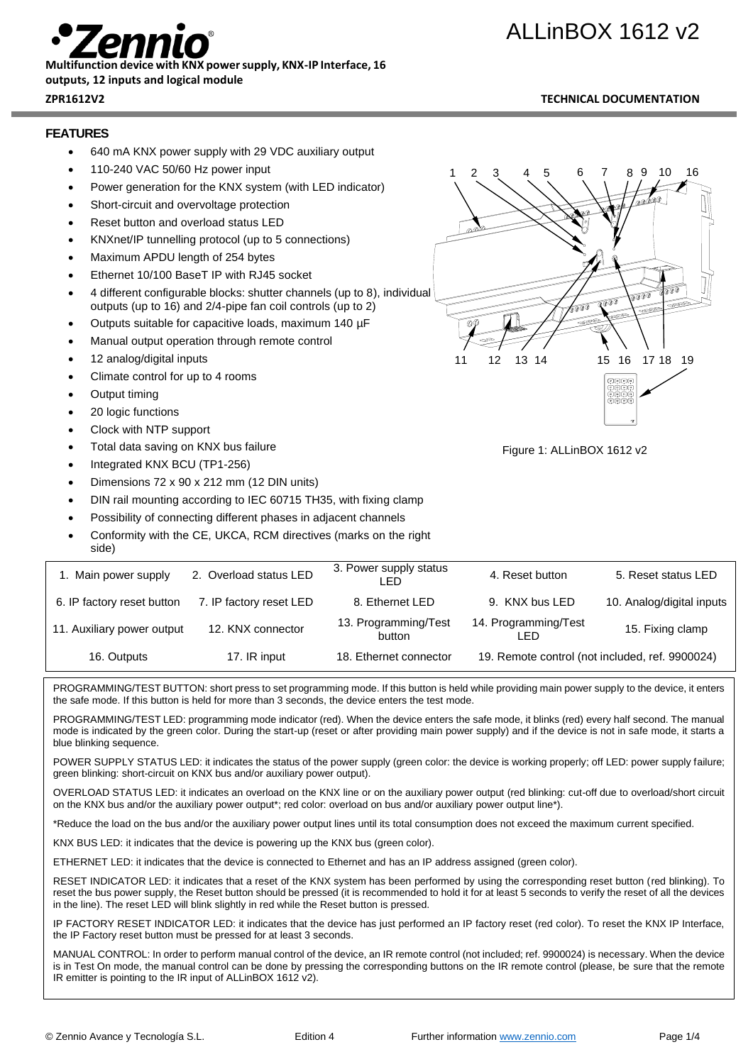# ALLinBOX 1612 v2



## **Multifunction device with KNX power supply, KNX-IP Interface, 16**

### **outputs, 12 inputs and logical module**

#### **ZPR1612V2 TECHNICAL DOCUMENTATION**

#### **FEATURES**

- 640 mA KNX power supply with 29 VDC auxiliary output
- 110-240 VAC 50/60 Hz power input
- Power generation for the KNX system (with LED indicator)
- Short-circuit and overvoltage protection
- Reset button and overload status LED
- KNXnet/IP tunnelling protocol (up to 5 connections)
- Maximum APDU length of 254 bytes
- Ethernet 10/100 BaseT IP with RJ45 socket
- 4 different configurable blocks: shutter channels (up to 8), individual outputs (up to 16) and 2/4-pipe fan coil controls (up to 2)
- Outputs suitable for capacitive loads, maximum 140 µF
- Manual output operation through remote control
- 12 analog/digital inputs
- Climate control for up to 4 rooms
- Output timing
- 20 logic functions
- Clock with NTP support
- Total data saving on KNX bus failure
- Integrated KNX BCU (TP1-256)
- Dimensions 72 x 90 x 212 mm (12 DIN units)
- DIN rail mounting according to IEC 60715 TH35, with fixing clamp
- Possibility of connecting different phases in adjacent channels
- Conformity with the CE, UKCA, RCM directives (marks on the right side)

| 1. Main power supply       | 2. Overload status LED  | 3. Power supply status<br>I FD | 4. Reset button                                 | 5. Reset status LED       |
|----------------------------|-------------------------|--------------------------------|-------------------------------------------------|---------------------------|
| 6. IP factory reset button | 7. IP factory reset LED | 8. Ethernet LED                | 9. KNX bus LED                                  | 10. Analog/digital inputs |
| 11. Auxiliary power output | 12. KNX connector       | 13. Programming/Test<br>button | 14. Programming/Test<br>LED                     | 15. Fixing clamp          |
| 16. Outputs                | 17. IR input            | 18. Ethernet connector         | 19. Remote control (not included, ref. 9900024) |                           |

PROGRAMMING/TEST BUTTON: short press to set programming mode. If this button is held while providing main power supply to the device, it enters the safe mode. If this button is held for more than 3 seconds, the device enters the test mode.

PROGRAMMING/TEST LED: programming mode indicator (red). When the device enters the safe mode, it blinks (red) every half second. The manual mode is indicated by the green color. During the start-up (reset or after providing main power supply) and if the device is not in safe mode, it starts a blue blinking sequence.

POWER SUPPLY STATUS LED: it indicates the status of the power supply (green color: the device is working properly; off LED: power supply failure; green blinking: short-circuit on KNX bus and/or auxiliary power output).

OVERLOAD STATUS LED: it indicates an overload on the KNX line or on the auxiliary power output (red blinking: cut-off due to overload/short circuit on the KNX bus and/or the auxiliary power output\*; red color: overload on bus and/or auxiliary power output line\*).

\*Reduce the load on the bus and/or the auxiliary power output lines until its total consumption does not exceed the maximum current specified.

KNX BUS LED: it indicates that the device is powering up the KNX bus (green color).

ETHERNET LED: it indicates that the device is connected to Ethernet and has an IP address assigned (green color).

RESET INDICATOR LED: it indicates that a reset of the KNX system has been performed by using the corresponding reset button (red blinking). To reset the bus power supply, the Reset button should be pressed (it is recommended to hold it for at least 5 seconds to verify the reset of all the devices in the line). The reset LED will blink slightly in red while the Reset button is pressed.

IP FACTORY RESET INDICATOR LED: it indicates that the device has just performed an IP factory reset (red color). To reset the KNX IP Interface, the IP Factory reset button must be pressed for at least 3 seconds.

MANUAL CONTROL: In order to perform manual control of the device, an IR remote control (not included; ref. 9900024) is necessary. When the device is in Test On mode, the manual control can be done by pressing the corresponding buttons on the IR remote control (please, be sure that the remote IR emitter is pointing to the IR input of ALLinBOX 1612 v2).



Figure 1: ALLinBOX 1612 v2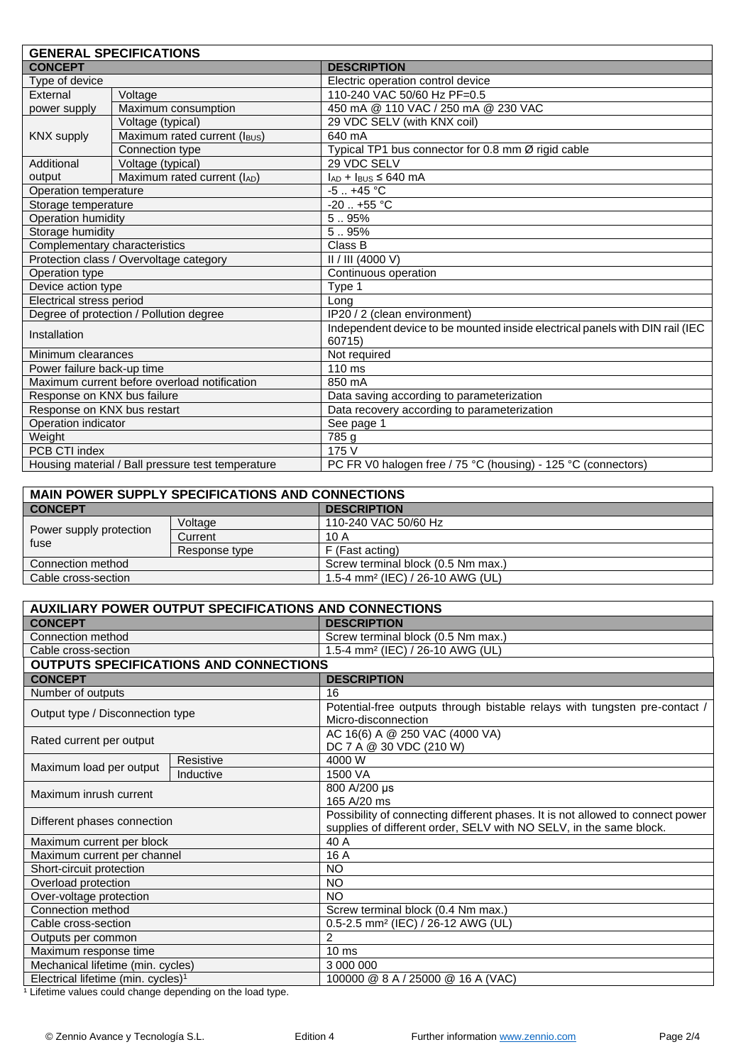| <b>GENERAL SPECIFICATIONS</b>                     |                              |                                                                              |  |  |
|---------------------------------------------------|------------------------------|------------------------------------------------------------------------------|--|--|
| <b>CONCEPT</b>                                    |                              | <b>DESCRIPTION</b>                                                           |  |  |
| Type of device                                    |                              | Electric operation control device                                            |  |  |
| External                                          | Voltage                      | 110-240 VAC 50/60 Hz PF=0.5                                                  |  |  |
| power supply                                      | Maximum consumption          | 450 mA @ 110 VAC / 250 mA @ 230 VAC                                          |  |  |
|                                                   | Voltage (typical)            | 29 VDC SELV (with KNX coil)                                                  |  |  |
| <b>KNX supply</b>                                 | Maximum rated current (IBUS) | 640 mA                                                                       |  |  |
|                                                   | Connection type              | Typical TP1 bus connector for 0.8 mm Ø rigid cable                           |  |  |
| Additional                                        | Voltage (typical)            | 29 VDC SELV                                                                  |  |  |
| output                                            | Maximum rated current (IAD)  | $I_{AD}$ + $I_{BUS}$ ≤ 640 mA                                                |  |  |
| Operation temperature                             |                              | $-5$ $+45$ °C                                                                |  |  |
| Storage temperature                               |                              | $-20.1 + 55$ °C                                                              |  |  |
| Operation humidity                                |                              | 5.95%                                                                        |  |  |
| Storage humidity                                  |                              | 5.95%                                                                        |  |  |
| Complementary characteristics                     |                              | Class B                                                                      |  |  |
| Protection class / Overvoltage category           |                              | $II/III$ (4000 V)                                                            |  |  |
| Operation type                                    |                              | Continuous operation                                                         |  |  |
| Device action type                                |                              | Type 1                                                                       |  |  |
| Electrical stress period                          |                              | Long                                                                         |  |  |
| Degree of protection / Pollution degree           |                              | IP20 / 2 (clean environment)                                                 |  |  |
| Installation                                      |                              | Independent device to be mounted inside electrical panels with DIN rail (IEC |  |  |
|                                                   |                              | 60715)                                                                       |  |  |
| Minimum clearances                                |                              | Not required                                                                 |  |  |
| Power failure back-up time                        |                              | $110 \text{ ms}$                                                             |  |  |
| Maximum current before overload notification      |                              | 850 mA                                                                       |  |  |
| Response on KNX bus failure                       |                              | Data saving according to parameterization                                    |  |  |
| Response on KNX bus restart                       |                              | Data recovery according to parameterization                                  |  |  |
| Operation indicator                               |                              | See page 1                                                                   |  |  |
| Weight                                            |                              | 785 g                                                                        |  |  |
| PCB CTI index                                     |                              | 175 V                                                                        |  |  |
| Housing material / Ball pressure test temperature |                              | PC FR V0 halogen free / 75 °C (housing) - 125 °C (connectors)                |  |  |

| <b>MAIN POWER SUPPLY SPECIFICATIONS AND CONNECTIONS</b> |               |                                              |  |  |
|---------------------------------------------------------|---------------|----------------------------------------------|--|--|
| <b>CONCEPT</b>                                          |               | <b>DESCRIPTION</b>                           |  |  |
| Power supply protection<br>fuse                         | Voltage       | 110-240 VAC 50/60 Hz                         |  |  |
|                                                         | Current       | 10 A                                         |  |  |
|                                                         | Response type | F (Fast acting)                              |  |  |
| Connection method                                       |               | Screw terminal block (0.5 Nm max.)           |  |  |
| Cable cross-section                                     |               | 1.5-4 mm <sup>2</sup> (IEC) / 26-10 AWG (UL) |  |  |

| <b>AUXILIARY POWER OUTPUT SPECIFICATIONS AND CONNECTIONS</b> |                                               |                                                                                                                                                      |  |  |
|--------------------------------------------------------------|-----------------------------------------------|------------------------------------------------------------------------------------------------------------------------------------------------------|--|--|
| <b>CONCEPT</b>                                               |                                               | <b>DESCRIPTION</b>                                                                                                                                   |  |  |
| Connection method                                            |                                               | Screw terminal block (0.5 Nm max.)                                                                                                                   |  |  |
| Cable cross-section                                          |                                               | 1.5-4 mm <sup>2</sup> (IEC) / 26-10 AWG (UL)                                                                                                         |  |  |
|                                                              | <b>OUTPUTS SPECIFICATIONS AND CONNECTIONS</b> |                                                                                                                                                      |  |  |
| <b>CONCEPT</b>                                               |                                               | <b>DESCRIPTION</b>                                                                                                                                   |  |  |
| Number of outputs                                            |                                               | 16                                                                                                                                                   |  |  |
| Output type / Disconnection type                             |                                               | Potential-free outputs through bistable relays with tungsten pre-contact /<br>Micro-disconnection                                                    |  |  |
| Rated current per output                                     |                                               | AC 16(6) A @ 250 VAC (4000 VA)<br>DC 7 A @ 30 VDC (210 W)                                                                                            |  |  |
|                                                              | Resistive                                     | 4000 W                                                                                                                                               |  |  |
| Maximum load per output                                      | Inductive                                     | 1500 VA                                                                                                                                              |  |  |
| Maximum inrush current                                       |                                               | 800 A/200 µs<br>165 A/20 ms                                                                                                                          |  |  |
| Different phases connection                                  |                                               | Possibility of connecting different phases. It is not allowed to connect power<br>supplies of different order, SELV with NO SELV, in the same block. |  |  |
| Maximum current per block                                    |                                               | 40 A                                                                                                                                                 |  |  |
| Maximum current per channel                                  |                                               | 16 A                                                                                                                                                 |  |  |
| Short-circuit protection                                     |                                               | NO                                                                                                                                                   |  |  |
| Overload protection                                          |                                               | <b>NO</b>                                                                                                                                            |  |  |
| Over-voltage protection                                      |                                               | NO                                                                                                                                                   |  |  |
| Connection method                                            |                                               | Screw terminal block (0.4 Nm max.)                                                                                                                   |  |  |
| Cable cross-section                                          |                                               | 0.5-2.5 mm <sup>2</sup> (IEC) / 26-12 AWG (UL)                                                                                                       |  |  |
| Outputs per common                                           |                                               | 2                                                                                                                                                    |  |  |
| Maximum response time                                        |                                               | 10 <sub>ms</sub>                                                                                                                                     |  |  |
| Mechanical lifetime (min. cycles)                            |                                               | 3 000 000                                                                                                                                            |  |  |
| Electrical lifetime (min. cycles) <sup>1</sup>               |                                               | 100000 @ 8 A / 25000 @ 16 A (VAC)                                                                                                                    |  |  |

<sup>1</sup> Lifetime values could change depending on the load type.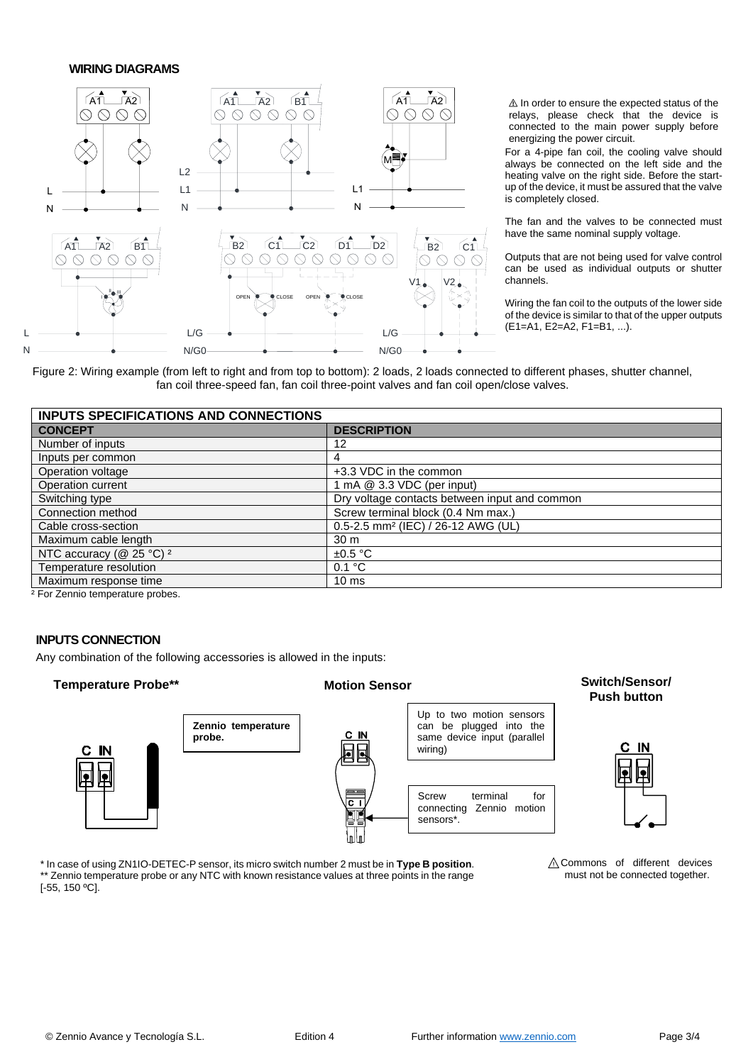#### **WIRING DIAGRAMS**



⚠ In order to ensure the expected status of the relays, please check that the device is connected to the main power supply before energizing the power circuit.

For a 4-pipe fan coil, the cooling valve should always be connected on the left side and the heating valve on the right side. Before the startup of the device, it must be assured that the valve is completely closed.

The fan and the valves to be connected must have the same nominal supply voltage.

Outputs that are not being used for valve control can be used as individual outputs or shutter channels.

Wiring the fan coil to the outputs of the lower side of the device is similar to that of the upper outputs (E1=A1, E2=A2, F1=B1, ...).

Figure 2: Wiring example (from left to right and from top to bottom): 2 loads, 2 loads connected to different phases, shutter channel, fan coil three-speed fan, fan coil three-point valves and fan coil open/close valves.

| <b>INPUTS SPECIFICATIONS AND CONNECTIONS</b> |                                                |  |
|----------------------------------------------|------------------------------------------------|--|
| <b>CONCEPT</b>                               | <b>DESCRIPTION</b>                             |  |
| Number of inputs                             | 12                                             |  |
| Inputs per common                            | 4                                              |  |
| Operation voltage                            | +3.3 VDC in the common                         |  |
| Operation current                            | 1 mA $@$ 3.3 VDC (per input)                   |  |
| Switching type                               | Dry voltage contacts between input and common  |  |
| Connection method                            | Screw terminal block (0.4 Nm max.)             |  |
| Cable cross-section                          | 0.5-2.5 mm <sup>2</sup> (IEC) / 26-12 AWG (UL) |  |
| Maximum cable length                         | 30 <sub>m</sub>                                |  |
| NTC accuracy ( $@$ 25 °C) <sup>2</sup>       | $\pm 0.5$ °C                                   |  |
| Temperature resolution                       | 0.1 °C                                         |  |
| Maximum response time                        | $10 \text{ ms}$                                |  |
|                                              |                                                |  |

² For Zennio temperature probes.

#### **INPUTS CONNECTION**

Any combination of the following accessories is allowed in the inputs:



\* In case of using ZN1IO-DETEC-P sensor, its micro switch number 2 must be in **Type B position**. \*\* Zennio temperature probe or any NTC with known resistance values at three points in the range [-55, 150 ºC].

⚠Commons of different devices must not be connected together.